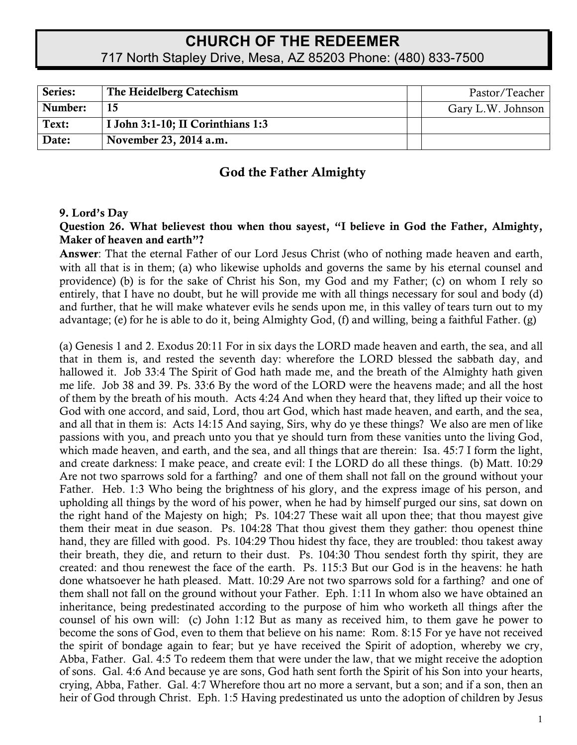# **CHURCH OF THE REDEEMER** 717 North Stapley Drive, Mesa, AZ 85203 Phone: (480) 833-7500

| Series: | The Heidelberg Catechism          | Pastor/Teacher    |
|---------|-----------------------------------|-------------------|
| Number: |                                   | Gary L.W. Johnson |
| Text:   | I John 3:1-10; II Corinthians 1:3 |                   |
| Date:   | November 23, 2014 a.m.            |                   |

## God the Father Almighty

#### 9. Lord's Day

#### Question 26. What believest thou when thou sayest, "I believe in God the Father, Almighty, Maker of heaven and earth"?

Answer: That the eternal Father of our Lord Jesus Christ (who of nothing made heaven and earth, with all that is in them; (a) who likewise upholds and governs the same by his eternal counsel and providence) (b) is for the sake of Christ his Son, my God and my Father; (c) on whom I rely so entirely, that I have no doubt, but he will provide me with all things necessary for soul and body (d) and further, that he will make whatever evils he sends upon me, in this valley of tears turn out to my advantage; (e) for he is able to do it, being Almighty God, (f) and willing, being a faithful Father. (g)

(a) Genesis 1 and 2. Exodus 20:11 For in six days the LORD made heaven and earth, the sea, and all that in them is, and rested the seventh day: wherefore the LORD blessed the sabbath day, and hallowed it. Job 33:4 The Spirit of God hath made me, and the breath of the Almighty hath given me life. Job 38 and 39. Ps. 33:6 By the word of the LORD were the heavens made; and all the host of them by the breath of his mouth. Acts 4:24 And when they heard that, they lifted up their voice to God with one accord, and said, Lord, thou art God, which hast made heaven, and earth, and the sea, and all that in them is: Acts 14:15 And saying, Sirs, why do ye these things? We also are men of like passions with you, and preach unto you that ye should turn from these vanities unto the living God, which made heaven, and earth, and the sea, and all things that are therein: Isa. 45:7 I form the light, and create darkness: I make peace, and create evil: I the LORD do all these things. (b) Matt. 10:29 Are not two sparrows sold for a farthing? and one of them shall not fall on the ground without your Father. Heb. 1:3 Who being the brightness of his glory, and the express image of his person, and upholding all things by the word of his power, when he had by himself purged our sins, sat down on the right hand of the Majesty on high; Ps. 104:27 These wait all upon thee; that thou mayest give them their meat in due season. Ps. 104:28 That thou givest them they gather: thou openest thine hand, they are filled with good. Ps. 104:29 Thou hidest thy face, they are troubled: thou takest away their breath, they die, and return to their dust. Ps. 104:30 Thou sendest forth thy spirit, they are created: and thou renewest the face of the earth. Ps. 115:3 But our God is in the heavens: he hath done whatsoever he hath pleased. Matt. 10:29 Are not two sparrows sold for a farthing? and one of them shall not fall on the ground without your Father. Eph. 1:11 In whom also we have obtained an inheritance, being predestinated according to the purpose of him who worketh all things after the counsel of his own will: (c) John 1:12 But as many as received him, to them gave he power to become the sons of God, even to them that believe on his name: Rom. 8:15 For ye have not received the spirit of bondage again to fear; but ye have received the Spirit of adoption, whereby we cry, Abba, Father. Gal. 4:5 To redeem them that were under the law, that we might receive the adoption of sons. Gal. 4:6 And because ye are sons, God hath sent forth the Spirit of his Son into your hearts, crying, Abba, Father. Gal. 4:7 Wherefore thou art no more a servant, but a son; and if a son, then an heir of God through Christ. Eph. 1:5 Having predestinated us unto the adoption of children by Jesus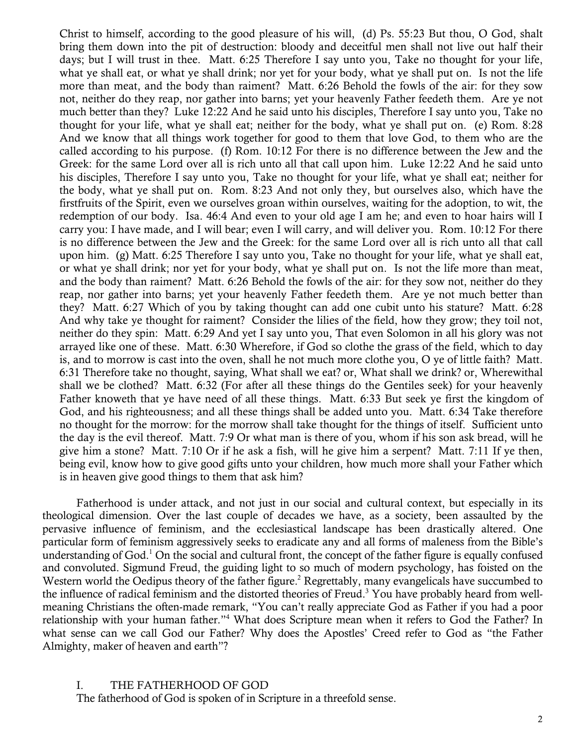Christ to himself, according to the good pleasure of his will, (d) Ps. 55:23 But thou, O God, shalt bring them down into the pit of destruction: bloody and deceitful men shall not live out half their days; but I will trust in thee. Matt. 6:25 Therefore I say unto you, Take no thought for your life, what ye shall eat, or what ye shall drink; nor yet for your body, what ye shall put on. Is not the life more than meat, and the body than raiment? Matt. 6:26 Behold the fowls of the air: for they sow not, neither do they reap, nor gather into barns; yet your heavenly Father feedeth them. Are ye not much better than they? Luke 12:22 And he said unto his disciples, Therefore I say unto you, Take no thought for your life, what ye shall eat; neither for the body, what ye shall put on. (e) Rom. 8:28 And we know that all things work together for good to them that love God, to them who are the called according to his purpose. (f) Rom. 10:12 For there is no difference between the Jew and the Greek: for the same Lord over all is rich unto all that call upon him. Luke 12:22 And he said unto his disciples, Therefore I say unto you, Take no thought for your life, what ye shall eat; neither for the body, what ye shall put on. Rom. 8:23 And not only they, but ourselves also, which have the firstfruits of the Spirit, even we ourselves groan within ourselves, waiting for the adoption, to wit, the redemption of our body. Isa. 46:4 And even to your old age I am he; and even to hoar hairs will I carry you: I have made, and I will bear; even I will carry, and will deliver you. Rom. 10:12 For there is no difference between the Jew and the Greek: for the same Lord over all is rich unto all that call upon him. (g) Matt. 6:25 Therefore I say unto you, Take no thought for your life, what ye shall eat, or what ye shall drink; nor yet for your body, what ye shall put on. Is not the life more than meat, and the body than raiment? Matt. 6:26 Behold the fowls of the air: for they sow not, neither do they reap, nor gather into barns; yet your heavenly Father feedeth them. Are ye not much better than they? Matt. 6:27 Which of you by taking thought can add one cubit unto his stature? Matt. 6:28 And why take ye thought for raiment? Consider the lilies of the field, how they grow; they toil not, neither do they spin: Matt. 6:29 And yet I say unto you, That even Solomon in all his glory was not arrayed like one of these. Matt. 6:30 Wherefore, if God so clothe the grass of the field, which to day is, and to morrow is cast into the oven, shall he not much more clothe you, O ye of little faith? Matt. 6:31 Therefore take no thought, saying, What shall we eat? or, What shall we drink? or, Wherewithal shall we be clothed? Matt. 6:32 (For after all these things do the Gentiles seek) for your heavenly Father knoweth that ye have need of all these things. Matt. 6:33 But seek ye first the kingdom of God, and his righteousness; and all these things shall be added unto you. Matt. 6:34 Take therefore no thought for the morrow: for the morrow shall take thought for the things of itself. Sufficient unto the day is the evil thereof. Matt. 7:9 Or what man is there of you, whom if his son ask bread, will he give him a stone? Matt. 7:10 Or if he ask a fish, will he give him a serpent? Matt. 7:11 If ye then, being evil, know how to give good gifts unto your children, how much more shall your Father which is in heaven give good things to them that ask him?

Fatherhood is under attack, and not just in our social and cultural context, but especially in its theological dimension. Over the last couple of decades we have, as a society, been assaulted by the pervasive influence of feminism, and the ecclesiastical landscape has been drastically altered. One particular form of feminism aggressively seeks to eradicate any and all forms of maleness from the Bible's understanding of God.<sup>1</sup> On the social and cultural front, the concept of the father figure is equally confused and convoluted. Sigmund Freud, the guiding light to so much of modern psychology, has foisted on the Western world the Oedipus theory of the father figure.<sup>2</sup> Regrettably, many evangelicals have succumbed to the influence of radical feminism and the distorted theories of Freud.<sup>3</sup> You have probably heard from wellmeaning Christians the often-made remark, "You can't really appreciate God as Father if you had a poor relationship with your human father."4 What does Scripture mean when it refers to God the Father? In what sense can we call God our Father? Why does the Apostles' Creed refer to God as "the Father Almighty, maker of heaven and earth"?

I. THE FATHERHOOD OF GOD The fatherhood of God is spoken of in Scripture in a threefold sense.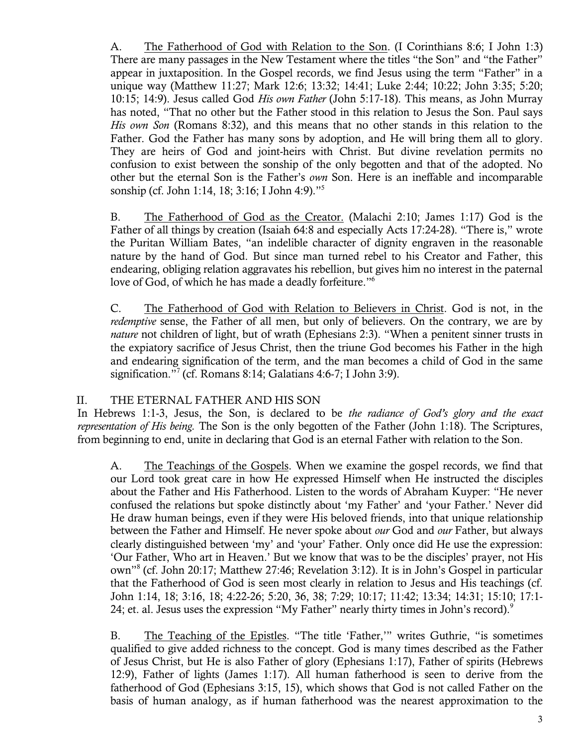A. The Fatherhood of God with Relation to the Son. (I Corinthians 8:6; I John 1:3) There are many passages in the New Testament where the titles "the Son" and "the Father" appear in juxtaposition. In the Gospel records, we find Jesus using the term "Father" in a unique way (Matthew 11:27; Mark 12:6; 13:32; 14:41; Luke 2:44; 10:22; John 3:35; 5:20; 10:15; 14:9). Jesus called God *His own Father* (John 5:17-18). This means, as John Murray has noted, "That no other but the Father stood in this relation to Jesus the Son. Paul says *His own Son* (Romans 8:32), and this means that no other stands in this relation to the Father. God the Father has many sons by adoption, and He will bring them all to glory. They are heirs of God and joint-heirs with Christ. But divine revelation permits no confusion to exist between the sonship of the only begotten and that of the adopted. No other but the eternal Son is the Father's *own* Son. Here is an ineffable and incomparable sonship (cf. John 1:14, 18; 3:16; I John 4:9)."5

B. The Fatherhood of God as the Creator. (Malachi 2:10; James 1:17) God is the Father of all things by creation (Isaiah 64:8 and especially Acts 17:24-28). "There is," wrote the Puritan William Bates, "an indelible character of dignity engraven in the reasonable nature by the hand of God. But since man turned rebel to his Creator and Father, this endearing, obliging relation aggravates his rebellion, but gives him no interest in the paternal love of God, of which he has made a deadly forfeiture."<sup>6</sup>

C. The Fatherhood of God with Relation to Believers in Christ. God is not, in the *redemptive* sense, the Father of all men, but only of believers. On the contrary, we are by *nature* not children of light, but of wrath (Ephesians 2:3). "When a penitent sinner trusts in the expiatory sacrifice of Jesus Christ, then the triune God becomes his Father in the high and endearing signification of the term, and the man becomes a child of God in the same signification."<sup>7</sup> (cf. Romans 8:14; Galatians 4:6-7; I John 3:9).

### II. THE ETERNAL FATHER AND HIS SON

In Hebrews 1:1-3, Jesus, the Son, is declared to be *the radiance of God's glory and the exact representation of His being.* The Son is the only begotten of the Father (John 1:18). The Scriptures, from beginning to end, unite in declaring that God is an eternal Father with relation to the Son.

A. The Teachings of the Gospels. When we examine the gospel records, we find that our Lord took great care in how He expressed Himself when He instructed the disciples about the Father and His Fatherhood. Listen to the words of Abraham Kuyper: "He never confused the relations but spoke distinctly about 'my Father' and 'your Father.' Never did He draw human beings, even if they were His beloved friends, into that unique relationship between the Father and Himself. He never spoke about *our* God and *our* Father, but always clearly distinguished between 'my' and 'your' Father. Only once did He use the expression: 'Our Father, Who art in Heaven.' But we know that was to be the disciples' prayer, not His own"8 (cf. John 20:17; Matthew 27:46; Revelation 3:12). It is in John's Gospel in particular that the Fatherhood of God is seen most clearly in relation to Jesus and His teachings (cf. John 1:14, 18; 3:16, 18; 4:22-26; 5:20, 36, 38; 7:29; 10:17; 11:42; 13:34; 14:31; 15:10; 17:1- 24; et. al. Jesus uses the expression "My Father" nearly thirty times in John's record). $9$ 

B. The Teaching of the Epistles. "The title 'Father,'" writes Guthrie, "is sometimes qualified to give added richness to the concept. God is many times described as the Father of Jesus Christ, but He is also Father of glory (Ephesians 1:17), Father of spirits (Hebrews 12:9), Father of lights (James 1:17). All human fatherhood is seen to derive from the fatherhood of God (Ephesians 3:15, 15), which shows that God is not called Father on the basis of human analogy, as if human fatherhood was the nearest approximation to the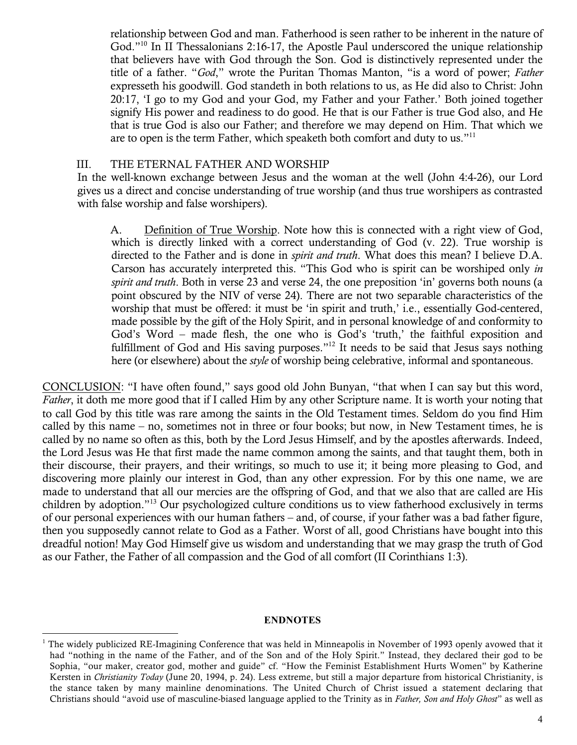relationship between God and man. Fatherhood is seen rather to be inherent in the nature of God."<sup>10</sup> In II Thessalonians 2:16-17, the Apostle Paul underscored the unique relationship that believers have with God through the Son. God is distinctively represented under the title of a father. "*God*," wrote the Puritan Thomas Manton, "is a word of power; *Father* expresseth his goodwill. God standeth in both relations to us, as He did also to Christ: John 20:17, 'I go to my God and your God, my Father and your Father.' Both joined together signify His power and readiness to do good. He that is our Father is true God also, and He that is true God is also our Father; and therefore we may depend on Him. That which we are to open is the term Father, which speaketh both comfort and duty to us." $11$ 

#### III. THE ETERNAL FATHER AND WORSHIP

In the well-known exchange between Jesus and the woman at the well (John 4:4-26), our Lord gives us a direct and concise understanding of true worship (and thus true worshipers as contrasted with false worship and false worshipers).

A. Definition of True Worship. Note how this is connected with a right view of God, which is directly linked with a correct understanding of God (v. 22). True worship is directed to the Father and is done in *spirit and truth*. What does this mean? I believe D.A. Carson has accurately interpreted this. "This God who is spirit can be worshiped only *in spirit and truth*. Both in verse 23 and verse 24, the one preposition 'in' governs both nouns (a point obscured by the NIV of verse 24). There are not two separable characteristics of the worship that must be offered: it must be 'in spirit and truth,' i.e., essentially God-centered, made possible by the gift of the Holy Spirit, and in personal knowledge of and conformity to God's Word – made flesh, the one who is God's 'truth,' the faithful exposition and fulfillment of God and His saving purposes."<sup>12</sup> It needs to be said that Jesus says nothing here (or elsewhere) about the *style* of worship being celebrative, informal and spontaneous.

CONCLUSION: "I have often found," says good old John Bunyan, "that when I can say but this word, *Father*, it doth me more good that if I called Him by any other Scripture name. It is worth your noting that to call God by this title was rare among the saints in the Old Testament times. Seldom do you find Him called by this name – no, sometimes not in three or four books; but now, in New Testament times, he is called by no name so often as this, both by the Lord Jesus Himself, and by the apostles afterwards. Indeed, the Lord Jesus was He that first made the name common among the saints, and that taught them, both in their discourse, their prayers, and their writings, so much to use it; it being more pleasing to God, and discovering more plainly our interest in God, than any other expression. For by this one name, we are made to understand that all our mercies are the offspring of God, and that we also that are called are His children by adoption."13 Our psychologized culture conditions us to view fatherhood exclusively in terms of our personal experiences with our human fathers – and, of course, if your father was a bad father figure, then you supposedly cannot relate to God as a Father. Worst of all, good Christians have bought into this dreadful notion! May God Himself give us wisdom and understanding that we may grasp the truth of God as our Father, the Father of all compassion and the God of all comfort (II Corinthians 1:3).

#### **ENDNOTES**

 <sup>1</sup> The widely publicized RE-Imagining Conference that was held in Minneapolis in November of 1993 openly avowed that it had "nothing in the name of the Father, and of the Son and of the Holy Spirit." Instead, they declared their god to be Sophia, "our maker, creator god, mother and guide" cf. "How the Feminist Establishment Hurts Women" by Katherine Kersten in *Christianity Today* (June 20, 1994, p. 24). Less extreme, but still a major departure from historical Christianity, is the stance taken by many mainline denominations. The United Church of Christ issued a statement declaring that Christians should "avoid use of masculine-biased language applied to the Trinity as in *Father, Son and Holy Ghost*" as well as